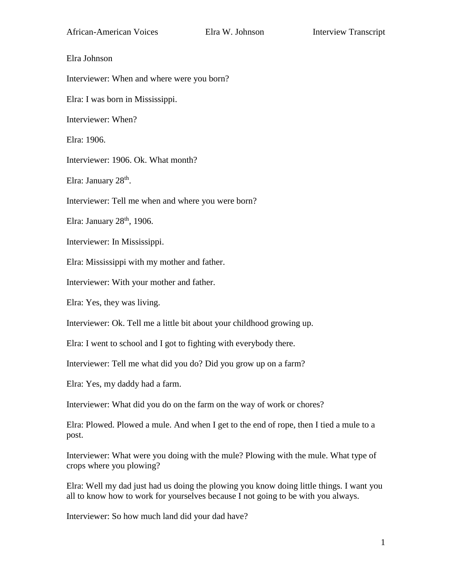Elra Johnson

Interviewer: When and where were you born?

Elra: I was born in Mississippi.

Interviewer: When?

Elra: 1906.

Interviewer: 1906. Ok. What month?

Elra: January 28<sup>th</sup>.

Interviewer: Tell me when and where you were born?

Elra: January  $28<sup>th</sup>$ , 1906.

Interviewer: In Mississippi.

Elra: Mississippi with my mother and father.

Interviewer: With your mother and father.

Elra: Yes, they was living.

Interviewer: Ok. Tell me a little bit about your childhood growing up.

Elra: I went to school and I got to fighting with everybody there.

Interviewer: Tell me what did you do? Did you grow up on a farm?

Elra: Yes, my daddy had a farm.

Interviewer: What did you do on the farm on the way of work or chores?

Elra: Plowed. Plowed a mule. And when I get to the end of rope, then I tied a mule to a post.

Interviewer: What were you doing with the mule? Plowing with the mule. What type of crops where you plowing?

Elra: Well my dad just had us doing the plowing you know doing little things. I want you all to know how to work for yourselves because I not going to be with you always.

Interviewer: So how much land did your dad have?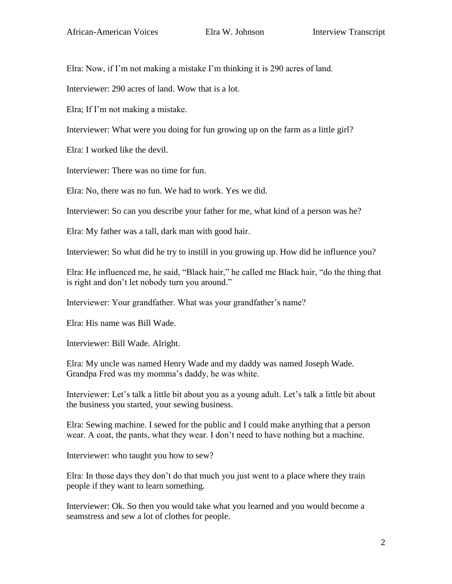Elra: Now, if I'm not making a mistake I'm thinking it is 290 acres of land.

Interviewer: 290 acres of land. Wow that is a lot.

Elra; If I'm not making a mistake.

Interviewer: What were you doing for fun growing up on the farm as a little girl?

Elra: I worked like the devil.

Interviewer: There was no time for fun.

Elra: No, there was no fun. We had to work. Yes we did.

Interviewer: So can you describe your father for me, what kind of a person was he?

Elra: My father was a tall, dark man with good hair.

Interviewer: So what did he try to instill in you growing up. How did he influence you?

Elra: He influenced me, he said, "Black hair," he called me Black hair, "do the thing that is right and don't let nobody turn you around."

Interviewer: Your grandfather. What was your grandfather's name?

Elra: His name was Bill Wade.

Interviewer: Bill Wade. Alright.

Elra: My uncle was named Henry Wade and my daddy was named Joseph Wade. Grandpa Fred was my momma's daddy, he was white.

Interviewer: Let's talk a little bit about you as a young adult. Let's talk a little bit about the business you started, your sewing business.

Elra: Sewing machine. I sewed for the public and I could make anything that a person wear. A coat, the pants, what they wear. I don't need to have nothing but a machine.

Interviewer: who taught you how to sew?

Elra: In those days they don't do that much you just went to a place where they train people if they want to learn something.

Interviewer: Ok. So then you would take what you learned and you would become a seamstress and sew a lot of clothes for people.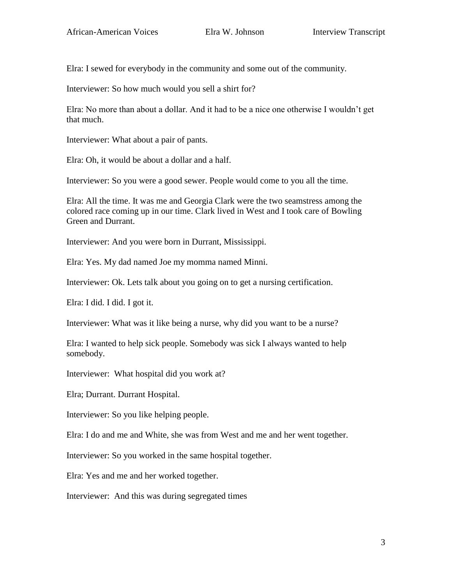Elra: I sewed for everybody in the community and some out of the community.

Interviewer: So how much would you sell a shirt for?

Elra: No more than about a dollar. And it had to be a nice one otherwise I wouldn't get that much.

Interviewer: What about a pair of pants.

Elra: Oh, it would be about a dollar and a half.

Interviewer: So you were a good sewer. People would come to you all the time.

Elra: All the time. It was me and Georgia Clark were the two seamstress among the colored race coming up in our time. Clark lived in West and I took care of Bowling Green and Durrant.

Interviewer: And you were born in Durrant, Mississippi.

Elra: Yes. My dad named Joe my momma named Minni.

Interviewer: Ok. Lets talk about you going on to get a nursing certification.

Elra: I did. I did. I got it.

Interviewer: What was it like being a nurse, why did you want to be a nurse?

Elra: I wanted to help sick people. Somebody was sick I always wanted to help somebody.

Interviewer: What hospital did you work at?

Elra; Durrant. Durrant Hospital.

Interviewer: So you like helping people.

Elra: I do and me and White, she was from West and me and her went together.

Interviewer: So you worked in the same hospital together.

Elra: Yes and me and her worked together.

Interviewer: And this was during segregated times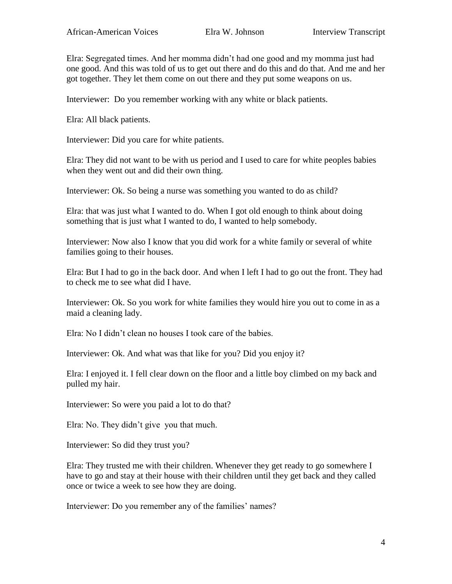Elra: Segregated times. And her momma didn't had one good and my momma just had one good. And this was told of us to get out there and do this and do that. And me and her got together. They let them come on out there and they put some weapons on us.

Interviewer: Do you remember working with any white or black patients.

Elra: All black patients.

Interviewer: Did you care for white patients.

Elra: They did not want to be with us period and I used to care for white peoples babies when they went out and did their own thing.

Interviewer: Ok. So being a nurse was something you wanted to do as child?

Elra: that was just what I wanted to do. When I got old enough to think about doing something that is just what I wanted to do, I wanted to help somebody.

Interviewer: Now also I know that you did work for a white family or several of white families going to their houses.

Elra: But I had to go in the back door. And when I left I had to go out the front. They had to check me to see what did I have.

Interviewer: Ok. So you work for white families they would hire you out to come in as a maid a cleaning lady.

Elra: No I didn't clean no houses I took care of the babies.

Interviewer: Ok. And what was that like for you? Did you enjoy it?

Elra: I enjoyed it. I fell clear down on the floor and a little boy climbed on my back and pulled my hair.

Interviewer: So were you paid a lot to do that?

Elra: No. They didn't give you that much.

Interviewer: So did they trust you?

Elra: They trusted me with their children. Whenever they get ready to go somewhere I have to go and stay at their house with their children until they get back and they called once or twice a week to see how they are doing.

Interviewer: Do you remember any of the families' names?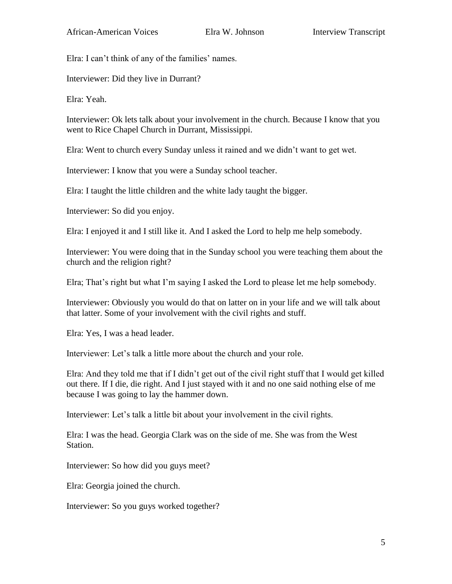Elra: I can't think of any of the families' names.

Interviewer: Did they live in Durrant?

Elra: Yeah.

Interviewer: Ok lets talk about your involvement in the church. Because I know that you went to Rice Chapel Church in Durrant, Mississippi.

Elra: Went to church every Sunday unless it rained and we didn't want to get wet.

Interviewer: I know that you were a Sunday school teacher.

Elra: I taught the little children and the white lady taught the bigger.

Interviewer: So did you enjoy.

Elra: I enjoyed it and I still like it. And I asked the Lord to help me help somebody.

Interviewer: You were doing that in the Sunday school you were teaching them about the church and the religion right?

Elra; That's right but what I'm saying I asked the Lord to please let me help somebody.

Interviewer: Obviously you would do that on latter on in your life and we will talk about that latter. Some of your involvement with the civil rights and stuff.

Elra: Yes, I was a head leader.

Interviewer: Let's talk a little more about the church and your role.

Elra: And they told me that if I didn't get out of the civil right stuff that I would get killed out there. If I die, die right. And I just stayed with it and no one said nothing else of me because I was going to lay the hammer down.

Interviewer: Let's talk a little bit about your involvement in the civil rights.

Elra: I was the head. Georgia Clark was on the side of me. She was from the West Station.

Interviewer: So how did you guys meet?

Elra: Georgia joined the church.

Interviewer: So you guys worked together?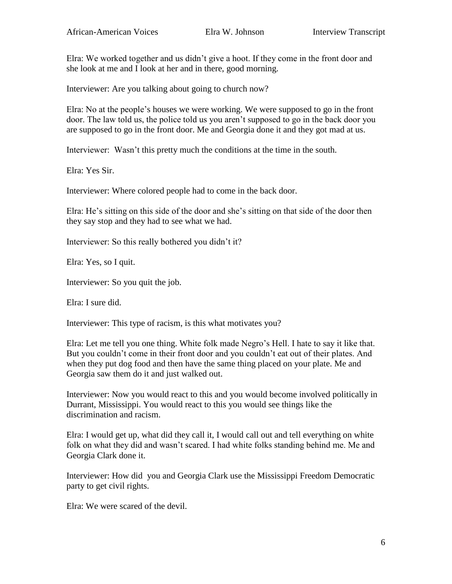Elra: We worked together and us didn't give a hoot. If they come in the front door and she look at me and I look at her and in there, good morning.

Interviewer: Are you talking about going to church now?

Elra: No at the people's houses we were working. We were supposed to go in the front door. The law told us, the police told us you aren't supposed to go in the back door you are supposed to go in the front door. Me and Georgia done it and they got mad at us.

Interviewer: Wasn't this pretty much the conditions at the time in the south.

Elra: Yes Sir.

Interviewer: Where colored people had to come in the back door.

Elra: He's sitting on this side of the door and she's sitting on that side of the door then they say stop and they had to see what we had.

Interviewer: So this really bothered you didn't it?

Elra: Yes, so I quit.

Interviewer: So you quit the job.

Elra: I sure did.

Interviewer: This type of racism, is this what motivates you?

Elra: Let me tell you one thing. White folk made Negro's Hell. I hate to say it like that. But you couldn't come in their front door and you couldn't eat out of their plates. And when they put dog food and then have the same thing placed on your plate. Me and Georgia saw them do it and just walked out.

Interviewer: Now you would react to this and you would become involved politically in Durrant, Mississippi. You would react to this you would see things like the discrimination and racism.

Elra: I would get up, what did they call it, I would call out and tell everything on white folk on what they did and wasn't scared. I had white folks standing behind me. Me and Georgia Clark done it.

Interviewer: How did you and Georgia Clark use the Mississippi Freedom Democratic party to get civil rights.

Elra: We were scared of the devil.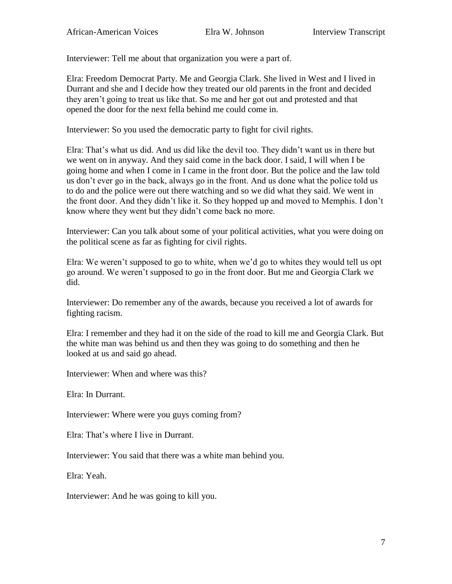Interviewer: Tell me about that organization you were a part of.

Elra: Freedom Democrat Party. Me and Georgia Clark. She lived in West and I lived in Durrant and she and I decide how they treated our old parents in the front and decided they aren't going to treat us like that. So me and her got out and protested and that opened the door for the next fella behind me could come in.

Interviewer: So you used the democratic party to fight for civil rights.

Elra: That's what us did. And us did like the devil too. They didn't want us in there but we went on in anyway. And they said come in the back door. I said, I will when I be going home and when I come in I came in the front door. But the police and the law told us don't ever go in the back, always go in the front. And us done what the police told us to do and the police were out there watching and so we did what they said. We went in the front door. And they didn't like it. So they hopped up and moved to Memphis. I don't know where they went but they didn't come back no more.

Interviewer: Can you talk about some of your political activities, what you were doing on the political scene as far as fighting for civil rights.

Elra: We weren't supposed to go to white, when we'd go to whites they would tell us opt go around. We weren't supposed to go in the front door. But me and Georgia Clark we did.

Interviewer: Do remember any of the awards, because you received a lot of awards for fighting racism.

Elra: I remember and they had it on the side of the road to kill me and Georgia Clark. But the white man was behind us and then they was going to do something and then he looked at us and said go ahead.

Interviewer: When and where was this?

Elra: In Durrant.

Interviewer: Where were you guys coming from?

Elra: That's where I live in Durrant.

Interviewer: You said that there was a white man behind you.

Elra: Yeah.

Interviewer: And he was going to kill you.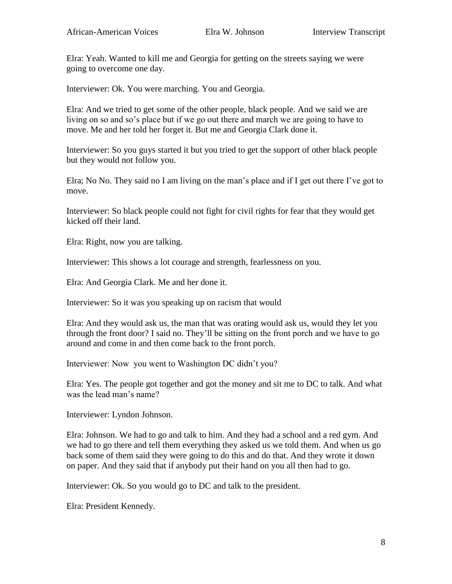Elra: Yeah. Wanted to kill me and Georgia for getting on the streets saying we were going to overcome one day.

Interviewer: Ok. You were marching. You and Georgia.

Elra: And we tried to get some of the other people, black people. And we said we are living on so and so's place but if we go out there and march we are going to have to move. Me and her told her forget it. But me and Georgia Clark done it.

Interviewer: So you guys started it but you tried to get the support of other black people but they would not follow you.

Elra; No No. They said no I am living on the man's place and if I get out there I've got to move.

Interviewer: So black people could not fight for civil rights for fear that they would get kicked off their land.

Elra: Right, now you are talking.

Interviewer: This shows a lot courage and strength, fearlessness on you.

Elra: And Georgia Clark. Me and her done it.

Interviewer: So it was you speaking up on racism that would

Elra: And they would ask us, the man that was orating would ask us, would they let you through the front door? I said no. They'll be sitting on the front porch and we have to go around and come in and then come back to the front porch.

Interviewer: Now you went to Washington DC didn't you?

Elra: Yes. The people got together and got the money and sit me to DC to talk. And what was the lead man's name?

Interviewer: Lyndon Johnson.

Elra: Johnson. We had to go and talk to him. And they had a school and a red gym. And we had to go there and tell them everything they asked us we told them. And when us go back some of them said they were going to do this and do that. And they wrote it down on paper. And they said that if anybody put their hand on you all then had to go.

Interviewer: Ok. So you would go to DC and talk to the president.

Elra: President Kennedy.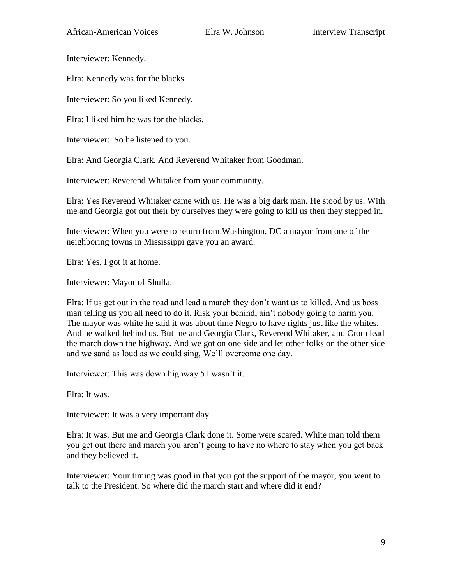Interviewer: Kennedy.

Elra: Kennedy was for the blacks.

Interviewer: So you liked Kennedy.

Elra: I liked him he was for the blacks.

Interviewer: So he listened to you.

Elra: And Georgia Clark. And Reverend Whitaker from Goodman.

Interviewer: Reverend Whitaker from your community.

Elra: Yes Reverend Whitaker came with us. He was a big dark man. He stood by us. With me and Georgia got out their by ourselves they were going to kill us then they stepped in.

Interviewer: When you were to return from Washington, DC a mayor from one of the neighboring towns in Mississippi gave you an award.

Elra: Yes, I got it at home.

Interviewer: Mayor of Shulla.

Elra: If us get out in the road and lead a march they don't want us to killed. And us boss man telling us you all need to do it. Risk your behind, ain't nobody going to harm you. The mayor was white he said it was about time Negro to have rights just like the whites. And he walked behind us. But me and Georgia Clark, Reverend Whitaker, and Crom lead the march down the highway. And we got on one side and let other folks on the other side and we sand as loud as we could sing, We'll overcome one day.

Interviewer: This was down highway 51 wasn't it.

Elra: It was.

Interviewer: It was a very important day.

Elra: It was. But me and Georgia Clark done it. Some were scared. White man told them you get out there and march you aren't going to have no where to stay when you get back and they believed it.

Interviewer: Your timing was good in that you got the support of the mayor, you went to talk to the President. So where did the march start and where did it end?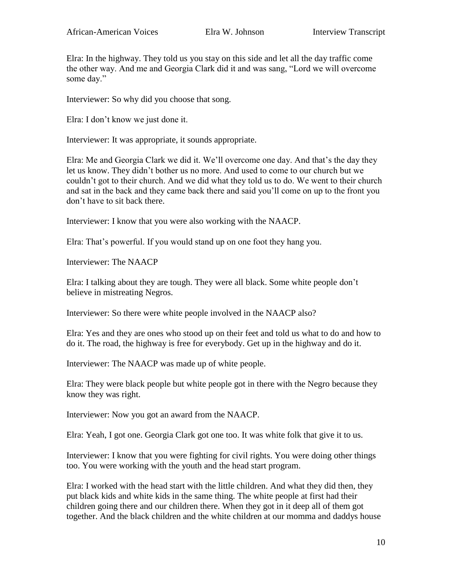Elra: In the highway. They told us you stay on this side and let all the day traffic come the other way. And me and Georgia Clark did it and was sang, "Lord we will overcome some day."

Interviewer: So why did you choose that song.

Elra: I don't know we just done it.

Interviewer: It was appropriate, it sounds appropriate.

Elra: Me and Georgia Clark we did it. We'll overcome one day. And that's the day they let us know. They didn't bother us no more. And used to come to our church but we couldn't got to their church. And we did what they told us to do. We went to their church and sat in the back and they came back there and said you'll come on up to the front you don't have to sit back there.

Interviewer: I know that you were also working with the NAACP.

Elra: That's powerful. If you would stand up on one foot they hang you.

Interviewer: The NAACP

Elra: I talking about they are tough. They were all black. Some white people don't believe in mistreating Negros.

Interviewer: So there were white people involved in the NAACP also?

Elra: Yes and they are ones who stood up on their feet and told us what to do and how to do it. The road, the highway is free for everybody. Get up in the highway and do it.

Interviewer: The NAACP was made up of white people.

Elra: They were black people but white people got in there with the Negro because they know they was right.

Interviewer: Now you got an award from the NAACP.

Elra: Yeah, I got one. Georgia Clark got one too. It was white folk that give it to us.

Interviewer: I know that you were fighting for civil rights. You were doing other things too. You were working with the youth and the head start program.

Elra: I worked with the head start with the little children. And what they did then, they put black kids and white kids in the same thing. The white people at first had their children going there and our children there. When they got in it deep all of them got together. And the black children and the white children at our momma and daddys house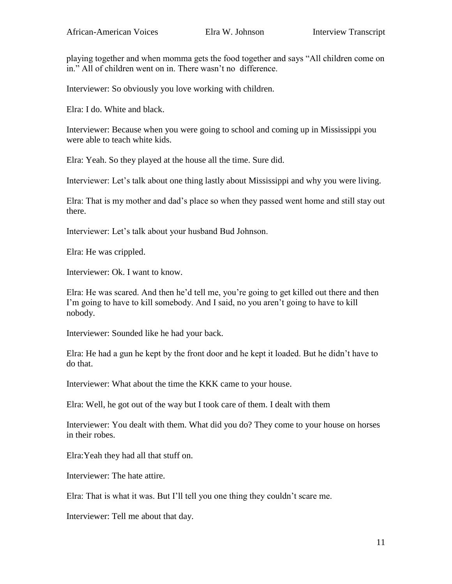playing together and when momma gets the food together and says "All children come on in." All of children went on in. There wasn't no difference.

Interviewer: So obviously you love working with children.

Elra: I do. White and black.

Interviewer: Because when you were going to school and coming up in Mississippi you were able to teach white kids.

Elra: Yeah. So they played at the house all the time. Sure did.

Interviewer: Let's talk about one thing lastly about Mississippi and why you were living.

Elra: That is my mother and dad's place so when they passed went home and still stay out there.

Interviewer: Let's talk about your husband Bud Johnson.

Elra: He was crippled.

Interviewer: Ok. I want to know.

Elra: He was scared. And then he'd tell me, you're going to get killed out there and then I'm going to have to kill somebody. And I said, no you aren't going to have to kill nobody.

Interviewer: Sounded like he had your back.

Elra: He had a gun he kept by the front door and he kept it loaded. But he didn't have to do that.

Interviewer: What about the time the KKK came to your house.

Elra: Well, he got out of the way but I took care of them. I dealt with them

Interviewer: You dealt with them. What did you do? They come to your house on horses in their robes.

Elra:Yeah they had all that stuff on.

Interviewer: The hate attire.

Elra: That is what it was. But I'll tell you one thing they couldn't scare me.

Interviewer: Tell me about that day.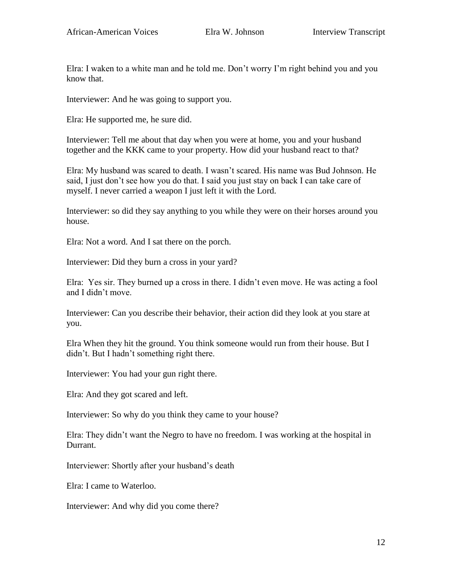Elra: I waken to a white man and he told me. Don't worry I'm right behind you and you know that.

Interviewer: And he was going to support you.

Elra: He supported me, he sure did.

Interviewer: Tell me about that day when you were at home, you and your husband together and the KKK came to your property. How did your husband react to that?

Elra: My husband was scared to death. I wasn't scared. His name was Bud Johnson. He said, I just don't see how you do that. I said you just stay on back I can take care of myself. I never carried a weapon I just left it with the Lord.

Interviewer: so did they say anything to you while they were on their horses around you house.

Elra: Not a word. And I sat there on the porch.

Interviewer: Did they burn a cross in your yard?

Elra: Yes sir. They burned up a cross in there. I didn't even move. He was acting a fool and I didn't move.

Interviewer: Can you describe their behavior, their action did they look at you stare at you.

Elra When they hit the ground. You think someone would run from their house. But I didn't. But I hadn't something right there.

Interviewer: You had your gun right there.

Elra: And they got scared and left.

Interviewer: So why do you think they came to your house?

Elra: They didn't want the Negro to have no freedom. I was working at the hospital in Durrant.

Interviewer: Shortly after your husband's death

Elra: I came to Waterloo.

Interviewer: And why did you come there?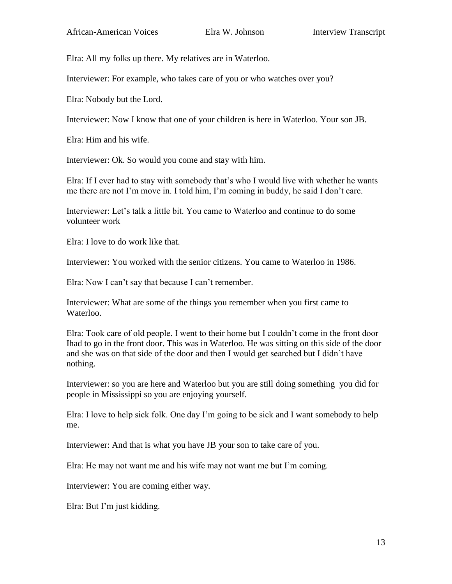Elra: All my folks up there. My relatives are in Waterloo.

Interviewer: For example, who takes care of you or who watches over you?

Elra: Nobody but the Lord.

Interviewer: Now I know that one of your children is here in Waterloo. Your son JB.

Elra: Him and his wife.

Interviewer: Ok. So would you come and stay with him.

Elra: If I ever had to stay with somebody that's who I would live with whether he wants me there are not I'm move in. I told him, I'm coming in buddy, he said I don't care.

Interviewer: Let's talk a little bit. You came to Waterloo and continue to do some volunteer work

Elra: I love to do work like that.

Interviewer: You worked with the senior citizens. You came to Waterloo in 1986.

Elra: Now I can't say that because I can't remember.

Interviewer: What are some of the things you remember when you first came to Waterloo.

Elra: Took care of old people. I went to their home but I couldn't come in the front door Ihad to go in the front door. This was in Waterloo. He was sitting on this side of the door and she was on that side of the door and then I would get searched but I didn't have nothing.

Interviewer: so you are here and Waterloo but you are still doing something you did for people in Mississippi so you are enjoying yourself.

Elra: I love to help sick folk. One day I'm going to be sick and I want somebody to help me.

Interviewer: And that is what you have JB your son to take care of you.

Elra: He may not want me and his wife may not want me but I'm coming.

Interviewer: You are coming either way.

Elra: But I'm just kidding.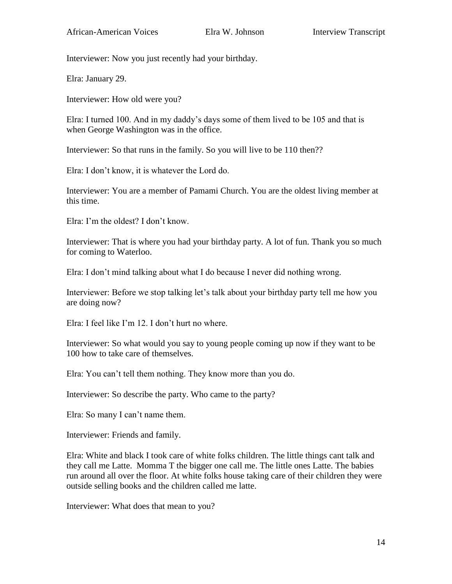Interviewer: Now you just recently had your birthday.

Elra: January 29.

Interviewer: How old were you?

Elra: I turned 100. And in my daddy's days some of them lived to be 105 and that is when George Washington was in the office.

Interviewer: So that runs in the family. So you will live to be 110 then??

Elra: I don't know, it is whatever the Lord do.

Interviewer: You are a member of Pamami Church. You are the oldest living member at this time.

Elra: I'm the oldest? I don't know.

Interviewer: That is where you had your birthday party. A lot of fun. Thank you so much for coming to Waterloo.

Elra: I don't mind talking about what I do because I never did nothing wrong.

Interviewer: Before we stop talking let's talk about your birthday party tell me how you are doing now?

Elra: I feel like I'm 12. I don't hurt no where.

Interviewer: So what would you say to young people coming up now if they want to be 100 how to take care of themselves.

Elra: You can't tell them nothing. They know more than you do.

Interviewer: So describe the party. Who came to the party?

Elra: So many I can't name them.

Interviewer: Friends and family.

Elra: White and black I took care of white folks children. The little things cant talk and they call me Latte. Momma T the bigger one call me. The little ones Latte. The babies run around all over the floor. At white folks house taking care of their children they were outside selling books and the children called me latte.

Interviewer: What does that mean to you?